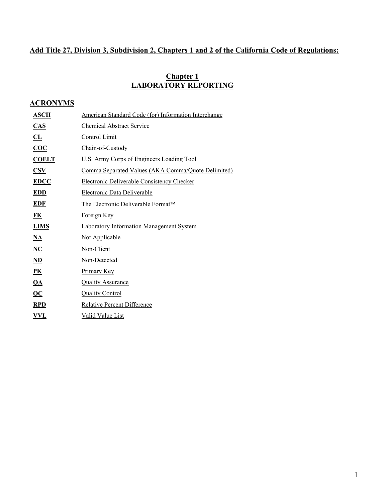## **Add Title 27, Division 3, Subdivision 2, Chapters 1 and 2 of the California Code of Regulations:**

#### **Chapter 1 LABORATORY REPORTING**

### **ACRONYMS**

| <b>ASCII</b>                       | American Standard Code (for) Information Interchange |
|------------------------------------|------------------------------------------------------|
| CAS                                | <b>Chemical Abstract Service</b>                     |
| CL                                 | <b>Control Limit</b>                                 |
| $\overline{\text{COC}}$            | Chain-of-Custody                                     |
| <b>COELT</b>                       | U.S. Army Corps of Engineers Loading Tool            |
| $\overline{\mathbf{CSV}}$          | Comma Separated Values (AKA Comma/Quote Delimited)   |
| <b>EDCC</b>                        | <b>Electronic Deliverable Consistency Checker</b>    |
| <u>EDD</u>                         | Electronic Data Deliverable                          |
| <b>EDF</b>                         | The Electronic Deliverable Format™                   |
| <u>FK</u>                          | Foreign Key                                          |
| <b>LIMS</b>                        | <b>Laboratory Information Management System</b>      |
| $\mathbf{NA}$                      | <b>Not Applicable</b>                                |
| NC                                 | Non-Client                                           |
| $\mathbf{ND}$                      | Non-Detected                                         |
| $\underline{\mathbf{P}}$           | <b>Primary Key</b>                                   |
| $Q\underline{A}$                   | <b>Quality Assurance</b>                             |
| $\underline{\mathbf{Q}\mathbf{C}}$ | <b>Quality Control</b>                               |
| <b>RPD</b>                         | <b>Relative Percent Difference</b>                   |
| VVL                                | Valid Value List                                     |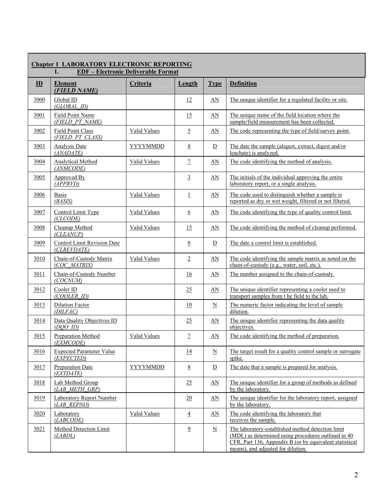| <b>Chapter 1 LABORATORY ELECTRONIC REPORTING</b><br><b>EDF</b> - Electronic Deliverable Format<br>1. |                                                   |                     |                 |                         |                                                                                                                                                                                                           |  |
|------------------------------------------------------------------------------------------------------|---------------------------------------------------|---------------------|-----------------|-------------------------|-----------------------------------------------------------------------------------------------------------------------------------------------------------------------------------------------------------|--|
| $\mathbf{D}$                                                                                         | <b>Element</b><br>(FIELD NAME)                    | Criteria            | Length          | <b>Type</b>             | <b>Definition</b>                                                                                                                                                                                         |  |
| 3000                                                                                                 | Global ID<br>(GLOBAL ID)                          |                     | 12              | $\Delta N$              | The unique identifier for a regulated facility or site.                                                                                                                                                   |  |
| 3001                                                                                                 | Field Point Name<br>(FIELD PT NAME)               |                     | 15              | AN                      | The unique name of the field location where the<br>sample/field measurement has been collected.                                                                                                           |  |
| 3002                                                                                                 | Field Point Class<br>(FIELD PT CLASS)             | <b>Valid Values</b> | $\overline{2}$  | AN                      | The code representing the type of field/survey point.                                                                                                                                                     |  |
| 3003                                                                                                 | Analysis Date<br>(ANADATE)                        | <b>YYYYMMDD</b>     | $8\overline{8}$ | $\overline{D}$          | The date the sample (aliquot, extract, digest and/or<br>leachate) is analyzed.                                                                                                                            |  |
| 3004                                                                                                 | <b>Analytical Method</b><br>(ANMCODE)             | <b>Valid Values</b> | $\overline{7}$  | $\Delta N$              | The code identifying the method of analysis.                                                                                                                                                              |  |
| 3005                                                                                                 | Approved By<br>(APPRVD)                           |                     | $\overline{3}$  | $\Delta N$              | The initials of the individual approving the entire<br>laboratory report, or a single analysis.                                                                                                           |  |
| 3006                                                                                                 | <b>Basis</b><br>(BASIS)                           | <b>Valid Values</b> | 1               | $\Delta N$              | The code used to distinguish whether a sample is<br>reported as dry or wet weight, filtered or not filtered.                                                                                              |  |
| 3007                                                                                                 | Control Limit Type<br>(CLCODE)                    | Valid Values        | $6\overline{6}$ | $\Delta N$              | The code identifying the type of quality control limit.                                                                                                                                                   |  |
| 3008                                                                                                 | Cleanup Method<br>(CLEANUP)                       | Valid Values        | <u>15</u>       | $\Delta N$              | The code identifying the method of cleanup performed.                                                                                                                                                     |  |
| 3009                                                                                                 | <b>Control Limit Revision Date</b><br>(CLREVDATE) |                     | 8               | $\overline{\mathbf{D}}$ | The date a control limit is established.                                                                                                                                                                  |  |
| 3010                                                                                                 | Chain-of-Custody Matrix<br>(COC MATRIX)           | <b>Valid Values</b> | $\overline{2}$  | $\Delta N$              | The code identifying the sample matrix as noted on the<br>chain-of-custody (e.g., water, soil, etc.).                                                                                                     |  |
| 3011                                                                                                 | Chain-of-Custody Number<br>(COCNUM)               |                     | 16              | $\Delta N$              | The number assigned to the chain-of-custody.                                                                                                                                                              |  |
| 3012                                                                                                 | Cooler ID<br>(COOLER ID)                          |                     | 25              | $\Delta N$              | The unique identifier representing a cooler used to<br>transport samples from t he field to the lab.                                                                                                      |  |
| 3013                                                                                                 | <b>Dilution Factor</b><br>(DILFAC)                |                     | 10              | $\underline{\text{N}}$  | The numeric factor indicating the level of sample<br>dilution.                                                                                                                                            |  |
| 3014                                                                                                 | Data Quality Objectives ID<br>$(DOO$ ID)          |                     | 25              | $\Delta N$              | The unique identifier representing the data quality<br>objectives.                                                                                                                                        |  |
| 3015                                                                                                 | Preparation Method<br>(EXMCODE)                   | Valid Values        | $\overline{1}$  | AN                      | The code identifying the method of preparation.                                                                                                                                                           |  |
| 3016                                                                                                 | <b>Expected Parameter Value</b><br>(EXPECTED)     |                     | 14              | $\underline{\text{N}}$  | The target result for a quality control sample or surrogate<br>spike.                                                                                                                                     |  |
| 3017                                                                                                 | <b>Preparation Date</b><br>(EXTDATE)              | <b>YYYYMMDD</b>     | $8\overline{8}$ | $\overline{D}$          | The date that a sample is prepared for analysis.                                                                                                                                                          |  |
| 3018                                                                                                 | Lab Method Group<br>(LAB METH GRP)                |                     | 25              | $\Delta N$              | The unique identifier for a group of methods as defined<br>by the laboratory.                                                                                                                             |  |
| 3019                                                                                                 | <b>Laboratory Report Number</b><br>(LAB REPNO)    |                     | 20              | $\Delta N$              | The unique identifier for the laboratory report, assigned<br>by the laboratory.                                                                                                                           |  |
| 3020                                                                                                 | Laboratory<br>(LABCODE)                           | <b>Valid Values</b> | $\overline{4}$  | $\Delta N$              | The code identifying the laboratory that<br>receives the sample.                                                                                                                                          |  |
| 3021                                                                                                 | <b>Method Detection Limit</b><br>(LABDL)          |                     | $\overline{9}$  | $\underline{\text{N}}$  | The laboratory-established method detection limit<br>(MDL) as determined using procedures outlined in 40<br>CFR, Part 136, Appendix B (or by equivalent statistical<br>means), and adjusted for dilution. |  |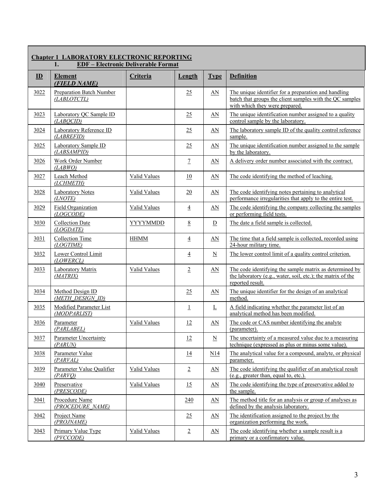| <b>Chapter 1 LABORATORY ELECTRONIC REPORTING</b><br><b>EDF</b> - Electronic Deliverable Format<br>1. |                                                |                     |                 |                          |                                                                                                                                                    |  |
|------------------------------------------------------------------------------------------------------|------------------------------------------------|---------------------|-----------------|--------------------------|----------------------------------------------------------------------------------------------------------------------------------------------------|--|
| $\mathbf{D}$                                                                                         | <b>Element</b><br>(FIELD NAME)                 | Criteria            | <b>Length</b>   | <b>Type</b>              | <b>Definition</b>                                                                                                                                  |  |
| 3022                                                                                                 | <b>Preparation Batch Number</b><br>(LABLOTCTL) |                     | 25              | $\Delta N$               | The unique identifier for a preparation and handling<br>batch that groups the client samples with the QC samples<br>with which they were prepared. |  |
| 3023                                                                                                 | Laboratory QC Sample ID<br>(LABOCID)           |                     | 25              | $\Delta N$               | The unique identification number assigned to a quality<br>control sample by the laboratory.                                                        |  |
| 3024                                                                                                 | Laboratory Reference ID<br>(LABREFID)          |                     | 25              | $\Delta N$               | The laboratory sample ID of the quality control reference<br>sample.                                                                               |  |
| 3025                                                                                                 | Laboratory Sample ID<br>(LABSAMPID)            |                     | 25              | $\Delta N$               | The unique identification number assigned to the sample<br>by the laboratory.                                                                      |  |
| 3026                                                                                                 | Work Order Number<br>(LABWO)                   |                     | $\overline{1}$  | $\Delta N$               | A delivery order number associated with the contract.                                                                                              |  |
| 3027                                                                                                 | Leach Method<br>(LCHMETH)                      | Valid Values        | 10              | $\underline{AN}$         | The code identifying the method of leaching.                                                                                                       |  |
| 3028                                                                                                 | <b>Laboratory Notes</b><br>(LNOTE)             | Valid Values        | 20              | $\Delta N$               | The code identifying notes pertaining to analytical<br>performance irregularities that apply to the entire test.                                   |  |
| 3029                                                                                                 | <b>Field Organization</b><br>(LOGCODE)         | Valid Values        | $\overline{4}$  | AN                       | The code identifying the company collecting the samples<br>or performing field tests.                                                              |  |
| 3030                                                                                                 | <b>Collection Date</b><br>(LOGDATE)            | <b>YYYYMMDD</b>     | $8\overline{8}$ | $\mathbf{D}$             | The date a field sample is collected.                                                                                                              |  |
| 3031                                                                                                 | <b>Collection Time</b><br>(LOGTIME)            | <b>HHMM</b>         | $\overline{4}$  | $\Delta N$               | The time that a field sample is collected, recorded using<br>24-hour military time.                                                                |  |
| 3032                                                                                                 | Lower Control Limit<br>(LOWERCL)               |                     | $\overline{4}$  | $\underline{\mathbf{N}}$ | The lower control limit of a quality control criterion.                                                                                            |  |
| 3033                                                                                                 | <b>Laboratory Matrix</b><br>(MATRIX)           | <b>Valid Values</b> | $\overline{2}$  | $\underline{AN}$         | The code identifying the sample matrix as determined by<br>the laboratory (e.g., water, soil, etc.); the matrix of the<br>reported result.         |  |
| 3034                                                                                                 | Method Design ID<br>(METH DESIGN ID)           |                     | 25              | $\Delta N$               | The unique identifier for the design of an analytical<br>method.                                                                                   |  |
| 3035                                                                                                 | <b>Modified Parameter List</b><br>(MODPARLIST) |                     | $\perp$         | L                        | A field indicating whether the parameter list of an<br>analytical method has been modified.                                                        |  |
| 3036                                                                                                 | Parameter<br>(PARLABEL)                        | <b>Valid Values</b> | 12              | $\underline{\text{AN}}$  | The code or CAS number identifying the analyte<br>(parameter).                                                                                     |  |
| 3037                                                                                                 | <b>Parameter Uncertainty</b><br>(PARUN)        |                     | 12              | $\overline{\mathbf{N}}$  | The uncertainty of a measured value due to a measuring<br>technique (expressed as plus or minus some value).                                       |  |
| 3038                                                                                                 | Parameter Value<br>(PARVAL)                    |                     | <u>14</u>       | N14                      | The analytical value for a compound, analyte, or physical<br>parameter.                                                                            |  |
| 3039                                                                                                 | Parameter Value Qualifier<br>(PARVO)           | Valid Values        | $\overline{2}$  | <u>AN</u>                | The code identifying the qualifier of an analytical result<br>(e.g., greater than, equal to, etc.).                                                |  |
| 3040                                                                                                 | Preservative<br>(PRESCODE)                     | <b>Valid Values</b> | 15              | <u>AN</u>                | The code identifying the type of preservative added to<br>the sample.                                                                              |  |
| 3041                                                                                                 | Procedure Name<br>(PROCEDURE NAME)             |                     | <u>240</u>      | <u>AN</u>                | The method title for an analysis or group of analyses as<br>defined by the analysis laboratory.                                                    |  |
| 3042                                                                                                 | Project Name<br>(PROJNAME)                     |                     | 25              | <u>AN</u>                | The identification assigned to the project by the<br>organization performing the work.                                                             |  |
| 3043                                                                                                 | <b>Primary Value Type</b><br>(PVCCODE)         | <b>Valid Values</b> | $\overline{2}$  | $\Delta N$               | The code identifying whether a sample result is a<br>primary or a confirmatory value.                                                              |  |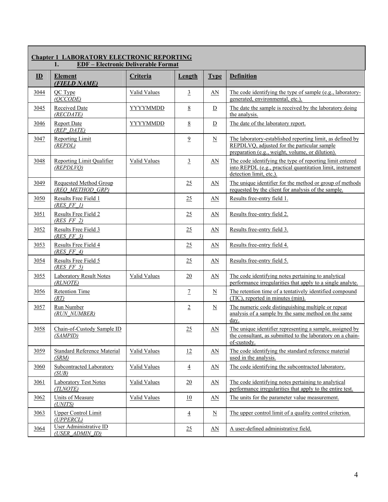|              | <b>Chapter 1 LABORATORY ELECTRONIC REPORTING</b><br><b>EDF-Electronic Deliverable Format</b><br>1. |                     |                   |                           |                                                                                                                                                              |  |  |
|--------------|----------------------------------------------------------------------------------------------------|---------------------|-------------------|---------------------------|--------------------------------------------------------------------------------------------------------------------------------------------------------------|--|--|
| $\mathbf{D}$ | <b>Element</b><br>(FIELD NAME)                                                                     | Criteria            | Length            | <b>Type</b>               | <b>Definition</b>                                                                                                                                            |  |  |
| 3044         | QC Type<br>(QCCODE)                                                                                | <b>Valid Values</b> | $\overline{3}$    | $\Delta N$                | The code identifying the type of sample (e.g., laboratory-<br>generated, environmental, etc.).                                                               |  |  |
| 3045         | <b>Received Date</b><br>(RECDATE)                                                                  | YYYYMMDD            | $8\overline{8}$   | $\mathbf{D}$              | The date the sample is received by the laboratory doing<br>the analysis.                                                                                     |  |  |
| 3046         | <b>Report Date</b><br>(REP DATE)                                                                   | <b>YYYYMMDD</b>     | $8\overline{8}$   | $\underline{\mathbf{D}}$  | The date of the laboratory report.                                                                                                                           |  |  |
| 3047         | Reporting Limit<br>(REPDL)                                                                         |                     | $\overline{9}$    | $\underline{\mathbf{N}}$  | The laboratory-established reporting limit, as defined by<br>REPDLVQ, adjusted for the particular sample<br>preparation (e.g., weight, volume, or dilution). |  |  |
| 3048         | <b>Reporting Limit Qualifier</b><br>(REPDLVO)                                                      | <b>Valid Values</b> | $\overline{3}$    | AN                        | The code identifying the type of reporting limit entered<br>into REPDL (e.g., practical quantitation limit, instrument<br>detection limit, etc.).            |  |  |
| 3049         | <b>Requested Method Group</b><br>(REO METHOD GRP)                                                  |                     | 25                | $\underline{AN}$          | The unique identifier for the method or group of methods<br>requested by the client for analysis of the sample.                                              |  |  |
| 3050         | <b>Results Free Field 1</b><br>(RES FF1)                                                           |                     | 25                | $\Delta N$                | Results free-entry field 1.                                                                                                                                  |  |  |
| <u>3051</u>  | Results Free Field 2<br>$(RES$ FF 2)                                                               |                     | 25                | AN                        | Results free-entry field 2.                                                                                                                                  |  |  |
| 3052         | Results Free Field 3<br>$(RES$ FF 3)                                                               |                     | 25                | $\Delta N$                | Results free-entry field 3.                                                                                                                                  |  |  |
| 3053         | Results Free Field 4<br>$(RES$ FF $4)$                                                             |                     | 25                | $\Delta N$                | Results free-entry field 4.                                                                                                                                  |  |  |
| 3054         | Results Free Field 5<br>(RES FF 5)                                                                 |                     | 25                | $\Delta N$                | Results free-entry field 5.                                                                                                                                  |  |  |
| 3055         | <b>Laboratory Result Notes</b><br>(RLNOTE)                                                         | <b>Valid Values</b> | 20                | $\Delta N$                | The code identifying notes pertaining to analytical<br>performance irregularities that apply to a single analyte.                                            |  |  |
| 3056         | <b>Retention Time</b><br>(RT)                                                                      |                     | $\overline{1}$    | $\underline{\text{N}}$    | The retention time of a tentatively identified compound<br>$\overline{\text{(TIC)}}$ , reported in minutes (min).                                            |  |  |
| 3057         | Run Number<br>(RUN NUMBER)                                                                         |                     | $\overline{2}$    | $\mathbf N$               | The numeric code distinguishing multiple or repeat<br>analysis of a sample by the same method on the same<br>day.                                            |  |  |
| 3058         | Chain-of-Custody Sample ID<br>(SAMPID)                                                             |                     | 25                | AN                        | The unique identifier representing a sample, assigned by<br>the consultant, as submitted to the laboratory on a chain-<br>of-custody.                        |  |  |
| 3059         | <b>Standard Reference Material</b><br>(SRM)                                                        | <b>Valid Values</b> | $12 \overline{ }$ | $\Delta N$                | The code identifying the standard reference material<br>used in the analysis.                                                                                |  |  |
| 3060         | Subcontracted Laboratory<br>(SUB)                                                                  | Valid Values        | $\overline{4}$    | $\underline{AN}$          | The code identifying the subcontracted laboratory.                                                                                                           |  |  |
| <u>3061</u>  | <b>Laboratory Test Notes</b><br>(TLNOTE)                                                           | <b>Valid Values</b> | 20                | $\Delta N$                | The code identifying notes pertaining to analytical<br>performance irregularities that apply to the entire test.                                             |  |  |
| 3062         | Units of Measure<br>(UNITS)                                                                        | <b>Valid Values</b> | 10                | $\Delta N$                | The units for the parameter value measurement.                                                                                                               |  |  |
| 3063         | <b>Upper Control Limit</b><br>(UPPERCL)                                                            |                     | $\overline{4}$    | $\underline{\text{N}}$    | The upper control limit of a quality control criterion.                                                                                                      |  |  |
| 3064         | <b>User Administrative ID</b><br>(USER_ADMIN_ID)                                                   |                     | 25                | $\underline{\mathbf{AN}}$ | A user-defined administrative field.                                                                                                                         |  |  |

Г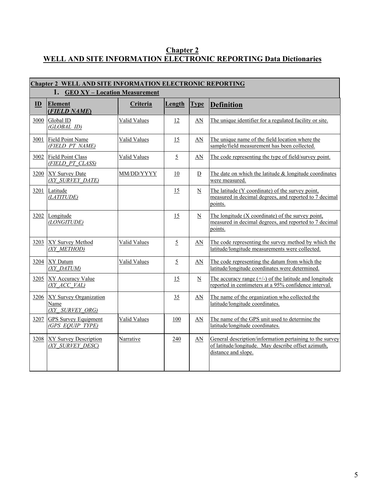#### **Chapter 2 WELL AND SITE INFORMATION ELECTRONIC REPORTING Data Dictionaries**

| <b>Chapter 2 WELL AND SITE INFORMATION ELECTRONIC REPORTING</b> |                                                          |                     |                |                           |                                                                                                                                        |  |  |
|-----------------------------------------------------------------|----------------------------------------------------------|---------------------|----------------|---------------------------|----------------------------------------------------------------------------------------------------------------------------------------|--|--|
| 1. GEO XY - Location Measurement                                |                                                          |                     |                |                           |                                                                                                                                        |  |  |
| ID                                                              | <b>Element</b><br>(FIELD NAME)                           | Criteria            | Length         | <b>Type</b>               | <b>Definition</b>                                                                                                                      |  |  |
| 3000                                                            | Global ID<br>(GLOBAL ID)                                 | <b>Valid Values</b> | 12             | AN                        | The unique identifier for a regulated facility or site.                                                                                |  |  |
| 3001                                                            | <b>Field Point Name</b><br>(FIELD PT NAME)               | Valid Values        | 15             | AN                        | The unique name of the field location where the<br>sample/field measurement has been collected.                                        |  |  |
| 3002                                                            | <b>Field Point Class</b><br>(FIELD PT CLASS)             | <b>Valid Values</b> | $\overline{5}$ | AN                        | The code representing the type of field/survey point.                                                                                  |  |  |
| 3200                                                            | <b>XY Survey Date</b><br>(XY SURVEY DATE)                | MM/DD/YYYY          | 10             | $\overline{D}$            | The date on which the latitude $&$ longitude coordinates<br>were measured.                                                             |  |  |
| 3201                                                            | Latitude<br>(LATITUDE)                                   |                     | 15             | $\underline{\rm N}$       | The latitude (Y coordinate) of the survey point,<br>measured in decimal degrees, and reported to 7 decimal<br>points.                  |  |  |
| 3202                                                            | Longitude<br>(LONGITUDE)                                 |                     | 15             | $\underline{\mathbf{N}}$  | The longitude (X coordinate) of the survey point,<br>measured in decimal degrees, and reported to 7 decimal<br>points.                 |  |  |
| 3203                                                            | XY Survey Method<br>(XY METHOD)                          | Valid Values        | $\overline{5}$ | AN                        | The code representing the survey method by which the<br>latitude/longitude measurements were collected.                                |  |  |
| 3204                                                            | XY Datum<br>(XY DATUM)                                   | Valid Values        | $\overline{5}$ | AN                        | The code representing the datum from which the<br>latitude/longitude coordinates were determined.                                      |  |  |
| 3205                                                            | <b>XY Accuracy Value</b><br>(XY ACC VAL)                 |                     | 15             | $\underline{\mathbf{N}}$  | The accuracy range $(+/-)$ of the latitude and longitude<br>reported in centimeters at a 95% confidence interval.                      |  |  |
| 3206                                                            | <b>XY Survey Organization</b><br>Name<br>(XY SURVEY ORG) |                     | 35             | AN                        | The name of the organization who collected the<br>latitude/longitude coordinates.                                                      |  |  |
| 3207                                                            | <b>GPS Survey Equipment</b><br>(GPS EQUIP TYPE)          | Valid Values        | 100            | AN                        | The name of the GPS unit used to determine the<br>latitude/longitude coordinates.                                                      |  |  |
| 3208                                                            | <b>XY Survey Description</b><br>(XY SURVEY DESC)         | Narrative           | 240            | $\underline{\mathbf{AN}}$ | General description/information pertaining to the survey<br>of latitude/longitude. May describe offset azimuth,<br>distance and slope. |  |  |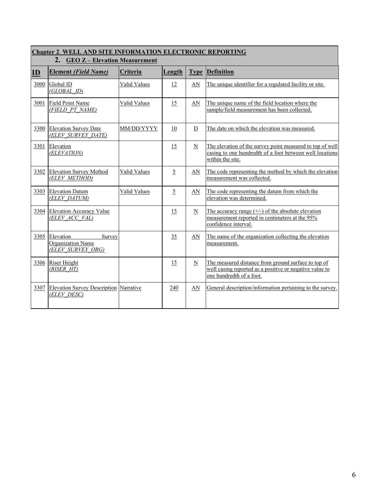| <b>Chapter 2 WELL AND SITE INFORMATION ELECTRONIC REPORTING</b><br>2. GEO Z - Elevation Measurement |                                                               |              |                |                          |                                                                                                                                            |  |  |
|-----------------------------------------------------------------------------------------------------|---------------------------------------------------------------|--------------|----------------|--------------------------|--------------------------------------------------------------------------------------------------------------------------------------------|--|--|
| $\mathbf{D}$                                                                                        | <b>Element (Field Name)</b>                                   | Criteria     | Length         | <b>Type</b>              | <b>Definition</b>                                                                                                                          |  |  |
| 3000                                                                                                | Global ID<br>(GLOBAL ID)                                      | Valid Values | 12             | AN                       | The unique identifier for a regulated facility or site.                                                                                    |  |  |
| 3001                                                                                                | <b>Field Point Name</b><br>(FIELD PT NAME)                    | Valid Values | 15             | AN                       | The unique name of the field location where the<br>sample/field measurement has been collected.                                            |  |  |
| 3300                                                                                                | <b>Elevation Survey Date</b><br>(ELEV SURVEY DATE)            | MM/DD/YYYY   | 10             | $\overline{D}$           | The date on which the elevation was measured.                                                                                              |  |  |
| 3301                                                                                                | Elevation<br>(ELEVATION)                                      |              | 15             | $\overline{\mathbf{N}}$  | The elevation of the survey point measured to top of well<br>casing to one hundredth of a foot between well locations<br>within the site.  |  |  |
| 3302                                                                                                | <b>Elevation Survey Method</b><br>(ELEV METHOD)               | Valid Values | $\overline{5}$ | AN                       | The code representing the method by which the elevation<br>measurement was collected.                                                      |  |  |
| 3303                                                                                                | <b>Elevation Datum</b><br>(ELEV DATUM)                        | Valid Values | $\overline{5}$ | AN                       | The code representing the datum from which the<br>elevation was determined.                                                                |  |  |
| 3304                                                                                                | <b>Elevation Accuracy Value</b><br>(ELEV ACC VAL)             |              | 15             | $\underline{\mathbf{N}}$ | The accuracy range $(+/-)$ of the absolute elevation<br>measurement reported in centimeters at the 95%<br>confidence interval.             |  |  |
| 3305                                                                                                | Elevation<br>Survey<br>Organization Name<br>(ELEV SURVEY ORG) |              | 35             | AN                       | The name of the organization collecting the elevation<br>measurement.                                                                      |  |  |
| 3306                                                                                                | Riser Height<br>(RISER HT)                                    |              | 15             | $\overline{\mathbf{N}}$  | The measured distance from ground surface to top of<br>well casing reported as a positive or negative value to<br>one hundredth of a foot. |  |  |
| 3307                                                                                                | <b>Elevation Survey Description Narrative</b><br>(ELEV DESC)  |              | 240            | $\underline{AN}$         | General description/information pertaining to the survey.                                                                                  |  |  |

# Г

 $\overline{\phantom{a}}$